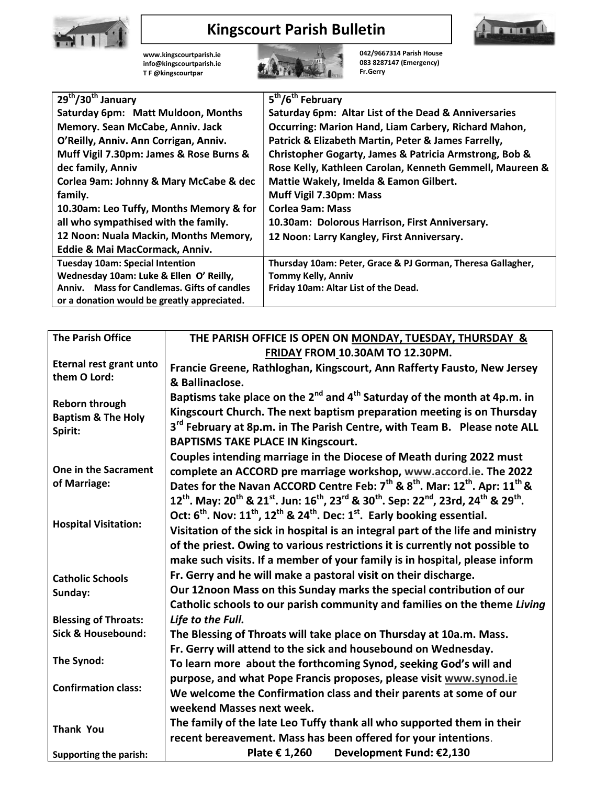

## Kingscourt Parish Bulletin



|                                                                                   |                                                                          | <b>Kingscourt Parish Bulletin</b>                               |  |
|-----------------------------------------------------------------------------------|--------------------------------------------------------------------------|-----------------------------------------------------------------|--|
|                                                                                   | www.kingscourtparish.ie<br>info@kingscourtparish.ie<br>TF @kingscourtpar | 042/9667314 Parish House<br>083 8287147 (Emergency)<br>Fr.Gerry |  |
| 29 <sup>th</sup> /30 <sup>th</sup> January                                        |                                                                          | 5 <sup>th</sup> /6 <sup>th</sup> February                       |  |
|                                                                                   | Saturday 6pm: Matt Muldoon, Months                                       | Saturday 6pm: Altar List of the Dead & Anniversaries            |  |
| Memory. Sean McCabe, Anniv. Jack                                                  |                                                                          | Occurring: Marion Hand, Liam Carbery, Richard Mahon,            |  |
|                                                                                   | O'Reilly, Anniv. Ann Corrigan, Anniv.                                    | Patrick & Elizabeth Martin, Peter & James Farrelly,             |  |
|                                                                                   | Muff Vigil 7.30pm: James & Rose Burns &                                  | Christopher Gogarty, James & Patricia Armstrong, Bob &          |  |
| dec family, Anniv                                                                 |                                                                          | Rose Kelly, Kathleen Carolan, Kenneth Gemmell, Maureen &        |  |
| Corlea 9am: Johnny & Mary McCabe & dec                                            |                                                                          | Mattie Wakely, Imelda & Eamon Gilbert.                          |  |
| family.                                                                           |                                                                          | Muff Vigil 7.30pm: Mass                                         |  |
|                                                                                   | 10.30am: Leo Tuffy, Months Memory & for                                  | <b>Corlea 9am: Mass</b>                                         |  |
| all who sympathised with the family.<br>12 Noon: Nuala Mackin, Months Memory,     |                                                                          | 10.30am: Dolorous Harrison, First Anniversary.                  |  |
| Eddie & Mai MacCormack, Anniv.                                                    |                                                                          | 12 Noon: Larry Kangley, First Anniversary.                      |  |
|                                                                                   |                                                                          | Thursday 10am: Peter, Grace & PJ Gorman, Theresa Gallagher,     |  |
| <b>Tuesday 10am: Special Intention</b><br>Wednesday 10am: Luke & Ellen O' Reilly, |                                                                          | <b>Tommy Kelly, Anniv</b>                                       |  |
| Anniv. Mass for Candlemas. Gifts of candles                                       |                                                                          | Friday 10am: Altar List of the Dead.                            |  |
|                                                                                   | or a donation would be greatly appreciated.                              |                                                                 |  |
|                                                                                   |                                                                          |                                                                 |  |
| <b>The Parish Office</b>                                                          |                                                                          | THE PARISH OFFICE IS OPEN ON MONDAY, TUESDAY, THURSDAY &        |  |
|                                                                                   |                                                                          | FRIDAY FROM 10.30AM TO 12.30PM.                                 |  |
|                                                                                   |                                                                          |                                                                 |  |

|                                                                                              | dec family, Anniv                           |                                                                                                                                                                                                    | Rose Kelly, Kathleen Carolan, Kenneth Gemmell, Maureen &                        |  |  |
|----------------------------------------------------------------------------------------------|---------------------------------------------|----------------------------------------------------------------------------------------------------------------------------------------------------------------------------------------------------|---------------------------------------------------------------------------------|--|--|
| Corlea 9am: Johnny & Mary McCabe & dec<br>family.<br>10.30am: Leo Tuffy, Months Memory & for |                                             |                                                                                                                                                                                                    | Mattie Wakely, Imelda & Eamon Gilbert.                                          |  |  |
|                                                                                              |                                             |                                                                                                                                                                                                    | Muff Vigil 7.30pm: Mass                                                         |  |  |
|                                                                                              |                                             |                                                                                                                                                                                                    | <b>Corlea 9am: Mass</b>                                                         |  |  |
|                                                                                              | all who sympathised with the family.        |                                                                                                                                                                                                    | 10.30am: Dolorous Harrison, First Anniversary.                                  |  |  |
|                                                                                              | 12 Noon: Nuala Mackin, Months Memory,       |                                                                                                                                                                                                    | 12 Noon: Larry Kangley, First Anniversary.                                      |  |  |
|                                                                                              | Eddie & Mai MacCormack, Anniv.              |                                                                                                                                                                                                    |                                                                                 |  |  |
|                                                                                              | <b>Tuesday 10am: Special Intention</b>      |                                                                                                                                                                                                    | Thursday 10am: Peter, Grace & PJ Gorman, Theresa Gallagher,                     |  |  |
|                                                                                              | Wednesday 10am: Luke & Ellen O' Reilly,     |                                                                                                                                                                                                    | <b>Tommy Kelly, Anniv</b>                                                       |  |  |
| Anniv. Mass for Candlemas. Gifts of candles                                                  |                                             |                                                                                                                                                                                                    | Friday 10am: Altar List of the Dead.                                            |  |  |
|                                                                                              | or a donation would be greatly appreciated. |                                                                                                                                                                                                    |                                                                                 |  |  |
|                                                                                              |                                             |                                                                                                                                                                                                    |                                                                                 |  |  |
|                                                                                              | <b>The Parish Office</b>                    |                                                                                                                                                                                                    |                                                                                 |  |  |
|                                                                                              |                                             |                                                                                                                                                                                                    | THE PARISH OFFICE IS OPEN ON MONDAY, TUESDAY, THURSDAY &                        |  |  |
|                                                                                              |                                             |                                                                                                                                                                                                    | FRIDAY FROM 10.30AM TO 12.30PM.                                                 |  |  |
| them O Lord:                                                                                 | Eternal rest grant unto                     |                                                                                                                                                                                                    | Francie Greene, Rathloghan, Kingscourt, Ann Rafferty Fausto, New Jersey         |  |  |
|                                                                                              |                                             | & Ballinaclose.                                                                                                                                                                                    |                                                                                 |  |  |
|                                                                                              |                                             | Baptisms take place on the 2 <sup>nd</sup> and 4 <sup>th</sup> Saturday of the month at 4p.m. in                                                                                                   |                                                                                 |  |  |
| Reborn through                                                                               |                                             | Kingscourt Church. The next baptism preparation meeting is on Thursday                                                                                                                             |                                                                                 |  |  |
|                                                                                              | <b>Baptism &amp; The Holy</b>               | 3 <sup>rd</sup> February at 8p.m. in The Parish Centre, with Team B. Please note ALL                                                                                                               |                                                                                 |  |  |
|                                                                                              | Spirit:                                     | <b>BAPTISMS TAKE PLACE IN Kingscourt.</b>                                                                                                                                                          |                                                                                 |  |  |
|                                                                                              |                                             |                                                                                                                                                                                                    |                                                                                 |  |  |
|                                                                                              | One in the Sacrament                        | Couples intending marriage in the Diocese of Meath during 2022 must                                                                                                                                |                                                                                 |  |  |
|                                                                                              |                                             | complete an ACCORD pre marriage workshop, www.accord.ie. The 2022                                                                                                                                  |                                                                                 |  |  |
|                                                                                              | of Marriage:                                | Dates for the Navan ACCORD Centre Feb: 7 <sup>th</sup> & 8 <sup>th</sup> . Mar: 12 <sup>th</sup> . Apr: 11 <sup>th</sup> &                                                                         |                                                                                 |  |  |
|                                                                                              |                                             | $12^{\text{th}}$ . May: $20^{\text{th}}$ & $21^{\text{st}}$ . Jun: $16^{\text{th}}$ , $23^{\text{rd}}$ & $30^{\text{th}}$ . Sep: $22^{\text{nd}}$ , $23$ rd, $24^{\text{th}}$ & $29^{\text{th}}$ . |                                                                                 |  |  |
|                                                                                              |                                             | Oct: $6^{th}$ . Nov: $11^{th}$ , $12^{th}$ & $24^{th}$ . Dec: $1^{st}$ . Early booking essential.                                                                                                  |                                                                                 |  |  |
|                                                                                              | <b>Hospital Visitation:</b>                 |                                                                                                                                                                                                    | Visitation of the sick in hospital is an integral part of the life and ministry |  |  |
|                                                                                              |                                             |                                                                                                                                                                                                    | of the priest. Owing to various restrictions it is currently not possible to    |  |  |
|                                                                                              |                                             |                                                                                                                                                                                                    | make such visits. If a member of your family is in hospital, please inform      |  |  |
|                                                                                              |                                             | Fr. Gerry and he will make a pastoral visit on their discharge.                                                                                                                                    |                                                                                 |  |  |
|                                                                                              | <b>Catholic Schools</b>                     |                                                                                                                                                                                                    |                                                                                 |  |  |
|                                                                                              | Sunday:                                     | Our 12noon Mass on this Sunday marks the special contribution of our                                                                                                                               |                                                                                 |  |  |
|                                                                                              |                                             |                                                                                                                                                                                                    | Catholic schools to our parish community and families on the theme Living       |  |  |
|                                                                                              | <b>Blessing of Throats:</b>                 | Life to the Full.                                                                                                                                                                                  |                                                                                 |  |  |
|                                                                                              | <b>Sick &amp; Housebound:</b>               |                                                                                                                                                                                                    | The Blessing of Throats will take place on Thursday at 10a.m. Mass.             |  |  |
|                                                                                              |                                             |                                                                                                                                                                                                    | Fr. Gerry will attend to the sick and housebound on Wednesday.                  |  |  |
|                                                                                              | The Synod:                                  |                                                                                                                                                                                                    | To learn more about the forthcoming Synod, seeking God's will and               |  |  |
|                                                                                              |                                             | purpose, and what Pope Francis proposes, please visit www.synod.ie                                                                                                                                 |                                                                                 |  |  |
|                                                                                              | <b>Confirmation class:</b>                  | We welcome the Confirmation class and their parents at some of our                                                                                                                                 |                                                                                 |  |  |
|                                                                                              |                                             | weekend Masses next week.                                                                                                                                                                          |                                                                                 |  |  |
|                                                                                              |                                             |                                                                                                                                                                                                    |                                                                                 |  |  |
|                                                                                              | <b>Thank You</b>                            | The family of the late Leo Tuffy thank all who supported them in their                                                                                                                             |                                                                                 |  |  |
|                                                                                              |                                             |                                                                                                                                                                                                    | recent bereavement. Mass has been offered for your intentions.                  |  |  |
|                                                                                              | <b>Supporting the parish:</b>               |                                                                                                                                                                                                    | Development Fund: €2,130<br>Plate € 1,260                                       |  |  |